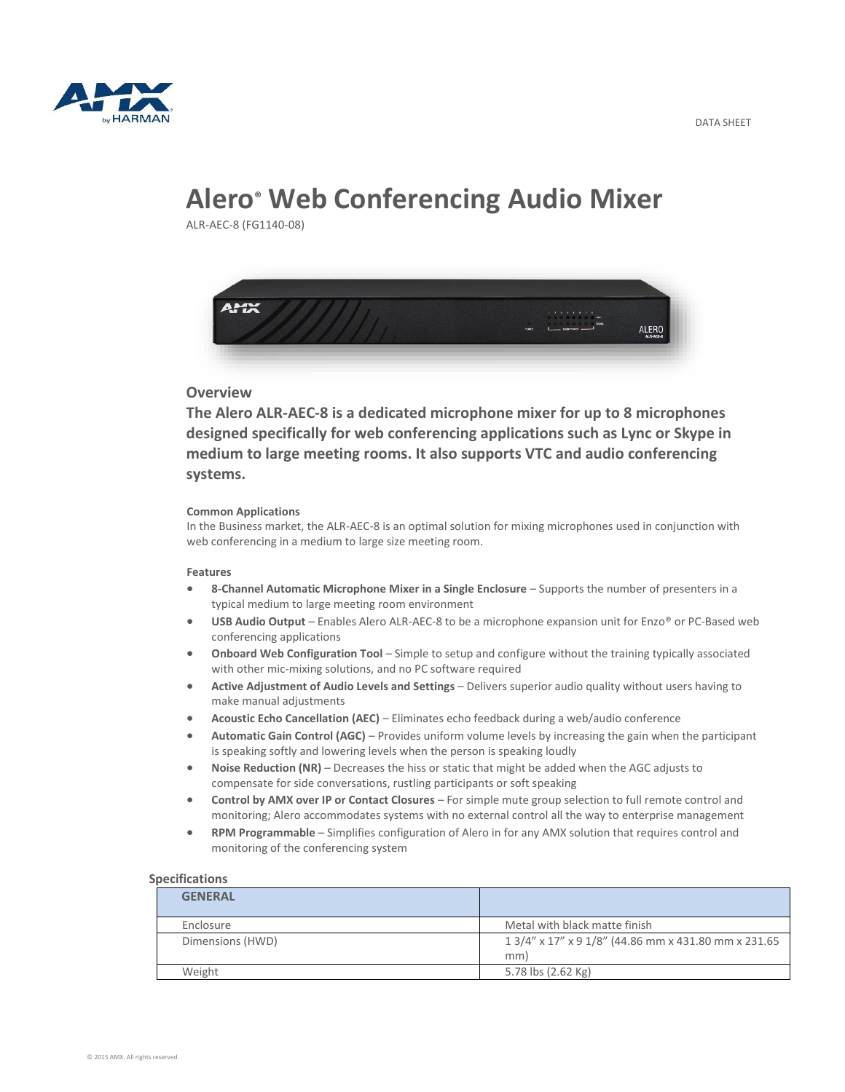

# **Alero® Web Conferencing Audio Mixer**

ALR-AEC-8 (FG1140-08)



## **Overview**

**The Alero ALR-AEC-8 is a dedicated microphone mixer for up to 8 microphones designed specifically for web conferencing applications such as Lync or Skype in medium to large meeting rooms. It also supports VTC and audio conferencing systems.**

#### **Common Applications**

In the Business market, the ALR-AEC-8 is an optimal solution for mixing microphones used in conjunction with web conferencing in a medium to large size meeting room.

#### **Features**

- **8-Channel Automatic Microphone Mixer in a Single Enclosure**  Supports the number of presenters in a typical medium to large meeting room environment
- **USB Audio Output**  Enables Alero ALR-AEC-8 to be a microphone expansion unit for Enzo® or PC-Based web conferencing applications
- **Onboard Web Configuration Tool**  Simple to setup and configure without the training typically associated with other mic-mixing solutions, and no PC software required
- **Active Adjustment of Audio Levels and Settings**  Delivers superior audio quality without users having to make manual adjustments
- **Acoustic Echo Cancellation (AEC)**  Eliminates echo feedback during a web/audio conference
- **Automatic Gain Control (AGC)**  Provides uniform volume levels by increasing the gain when the participant is speaking softly and lowering levels when the person is speaking loudly
- **Noise Reduction (NR)**  Decreases the hiss or static that might be added when the AGC adjusts to compensate for side conversations, rustling participants or soft speaking
- **Control by AMX over IP or Contact Closures**  For simple mute group selection to full remote control and monitoring; Alero accommodates systems with no external control all the way to enterprise management
- **RPM Programmable**  Simplifies configuration of Alero in for any AMX solution that requires control and monitoring of the conferencing system

### **Specifications**

| <b>GENERAL</b>   |                                                             |
|------------------|-------------------------------------------------------------|
| Enclosure        | Metal with black matte finish                               |
| Dimensions (HWD) | 1 3/4" x 17" x 9 1/8" (44.86 mm x 431.80 mm x 231.65<br>mm) |
| Weight           | 5.78 lbs (2.62 Kg)                                          |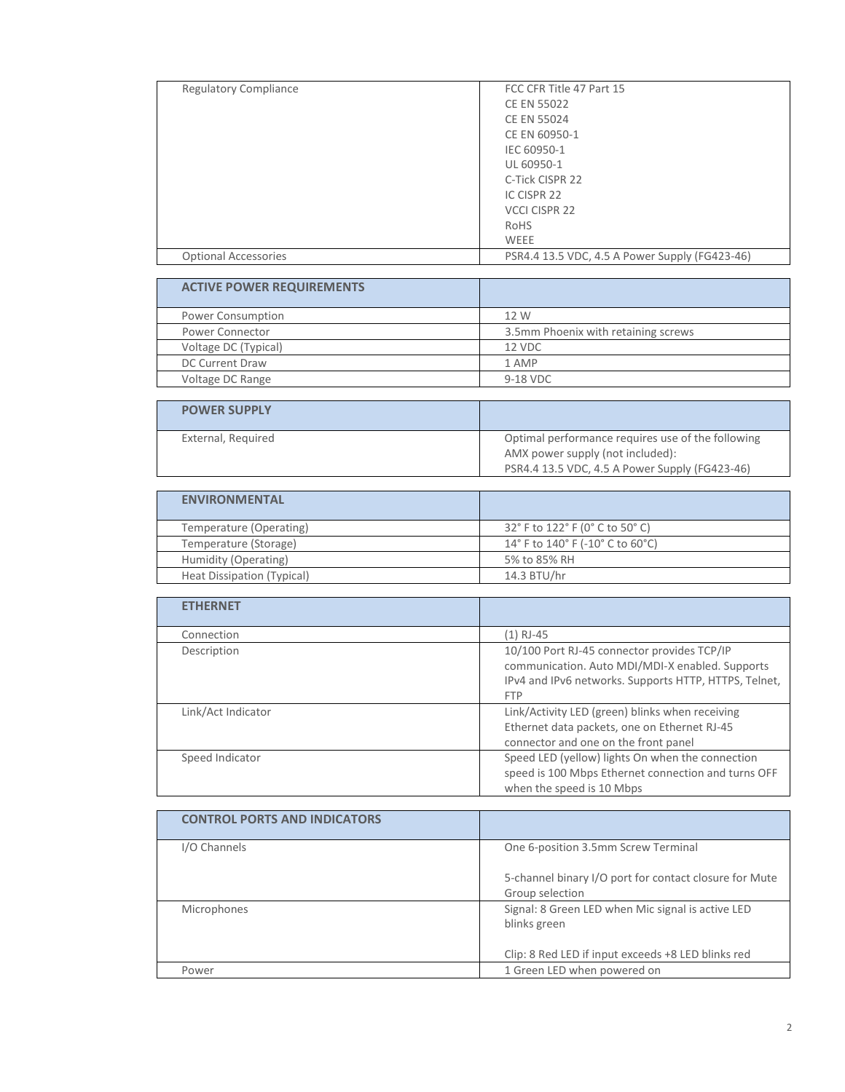| <b>Regulatory Compliance</b> | FCC CFR Title 47 Part 15                       |
|------------------------------|------------------------------------------------|
|                              | <b>CE EN 55022</b>                             |
|                              | <b>CE EN 55024</b>                             |
|                              | CE EN 60950-1                                  |
|                              | IEC 60950-1                                    |
|                              | UL 60950-1                                     |
|                              | C-Tick CISPR 22                                |
|                              | IC CISPR 22                                    |
|                              | VCCI CISPR 22                                  |
|                              | RoHS                                           |
|                              | WEEE                                           |
| <b>Optional Accessories</b>  | PSR4.4 13.5 VDC, 4.5 A Power Supply (FG423-46) |

| <b>ACTIVE POWER REQUIREMENTS</b> |                                     |
|----------------------------------|-------------------------------------|
| Power Consumption                | 12 W                                |
| <b>Power Connector</b>           | 3.5mm Phoenix with retaining screws |
| Voltage DC (Typical)             | 12 VDC                              |
| <b>DC Current Draw</b>           | 1 AMP                               |
| Voltage DC Range                 | 9-18 VDC                            |
|                                  |                                     |
|                                  |                                     |

| <b>POWER SUPPLY</b> |                                                                                       |
|---------------------|---------------------------------------------------------------------------------------|
| External, Required  | Optimal performance requires use of the following<br>AMX power supply (not included): |
|                     | PSR4.4 13.5 VDC, 4.5 A Power Supply (FG423-46)                                        |

| <b>ENVIRONMENTAL</b>       |                                  |
|----------------------------|----------------------------------|
| Temperature (Operating)    | 32° F to 122° F (0° C to 50° C)  |
| Temperature (Storage)      | 14° F to 140° F (-10° C to 60°C) |
| Humidity (Operating)       | 5% to 85% RH                     |
| Heat Dissipation (Typical) | 14.3 BTU/hr                      |

| <b>ETHERNET</b>    |                                                                                                                                                                       |
|--------------------|-----------------------------------------------------------------------------------------------------------------------------------------------------------------------|
| Connection         | (1) RJ-45                                                                                                                                                             |
| Description        | 10/100 Port RJ-45 connector provides TCP/IP<br>communication. Auto MDI/MDI-X enabled. Supports<br>IPv4 and IPv6 networks. Supports HTTP, HTTPS, Telnet,<br><b>FTP</b> |
| Link/Act Indicator | Link/Activity LED (green) blinks when receiving<br>Ethernet data packets, one on Ethernet RJ-45<br>connector and one on the front panel                               |
| Speed Indicator    | Speed LED (yellow) lights On when the connection<br>speed is 100 Mbps Ethernet connection and turns OFF<br>when the speed is 10 Mbps                                  |

| <b>CONTROL PORTS AND INDICATORS</b> |                                                                           |
|-------------------------------------|---------------------------------------------------------------------------|
| I/O Channels                        | One 6-position 3.5mm Screw Terminal                                       |
|                                     | 5-channel binary I/O port for contact closure for Mute<br>Group selection |
| Microphones                         | Signal: 8 Green LED when Mic signal is active LED<br>blinks green         |
|                                     | Clip: 8 Red LED if input exceeds +8 LED blinks red                        |
| Power                               | 1 Green LED when powered on                                               |